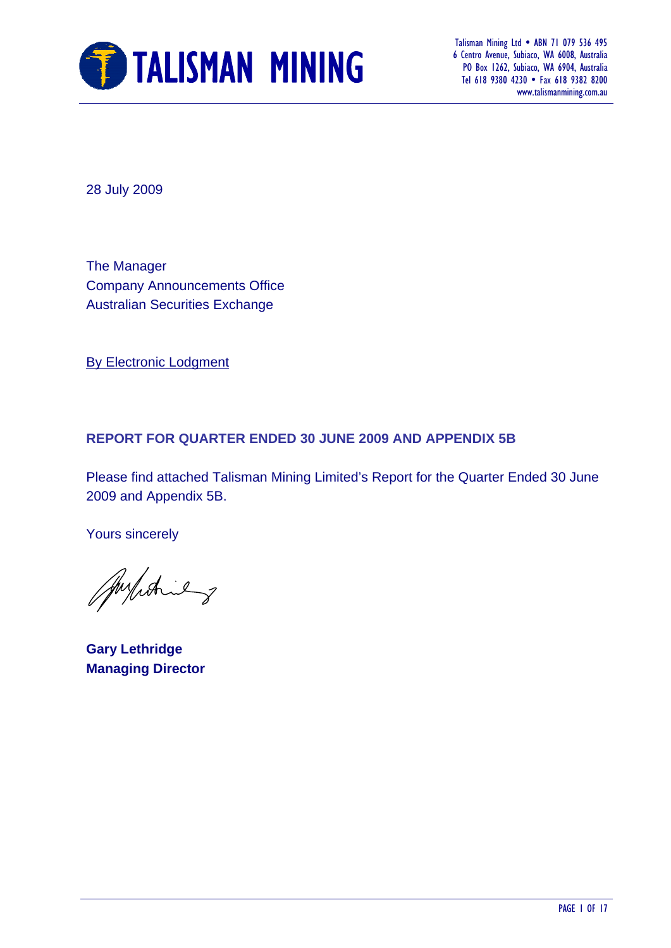

 6 Centro Avenue, Subiaco, WA 6008, Australia PO Box 1262, Subiaco, WA 6904, Australia Tel 618 9380 4230 • Fax 618 9382 8200 www.talismanmining.com.au

28 July 2009

The Manager Company Announcements Office Australian Securities Exchange

By Electronic Lodgment

#### **REPORT FOR QUARTER ENDED 30 JUNE 2009 AND APPENDIX 5B**

Please find attached Talisman Mining Limited's Report for the Quarter Ended 30 June 2009 and Appendix 5B.

Yours sincerely

Aufiching

**Gary Lethridge Managing Director**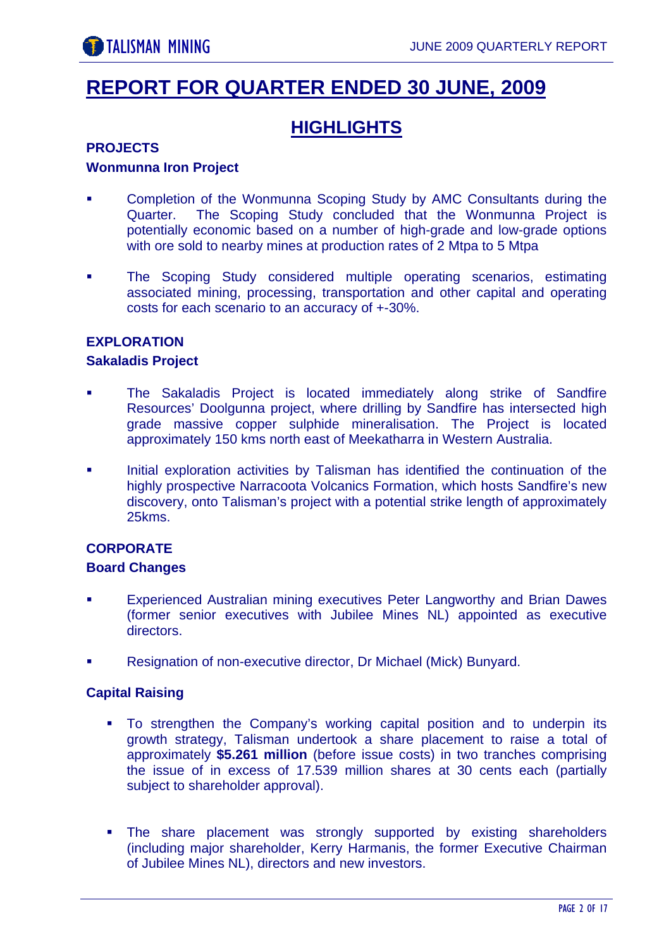# **REPORT FOR QUARTER ENDED 30 JUNE, 2009**

# **HIGHLIGHTS**

#### **PROJECTS**

#### **Wonmunna Iron Project**

- Completion of the Wonmunna Scoping Study by AMC Consultants during the Quarter. The Scoping Study concluded that the Wonmunna Project is potentially economic based on a number of high-grade and low-grade options with ore sold to nearby mines at production rates of 2 Mtpa to 5 Mtpa
- **The Scoping Study considered multiple operating scenarios, estimating** associated mining, processing, transportation and other capital and operating costs for each scenario to an accuracy of +-30%.

#### **EXPLORATION**

#### **Sakaladis Project**

- The Sakaladis Project is located immediately along strike of Sandfire Resources' Doolgunna project, where drilling by Sandfire has intersected high grade massive copper sulphide mineralisation. The Project is located approximately 150 kms north east of Meekatharra in Western Australia.
- Initial exploration activities by Talisman has identified the continuation of the highly prospective Narracoota Volcanics Formation, which hosts Sandfire's new discovery, onto Talisman's project with a potential strike length of approximately 25kms.

#### **CORPORATE**

#### **Board Changes**

- Experienced Australian mining executives Peter Langworthy and Brian Dawes (former senior executives with Jubilee Mines NL) appointed as executive directors.
- Resignation of non-executive director, Dr Michael (Mick) Bunyard.

#### **Capital Raising**

- To strengthen the Company's working capital position and to underpin its growth strategy, Talisman undertook a share placement to raise a total of approximately **\$5.261 million** (before issue costs) in two tranches comprising the issue of in excess of 17.539 million shares at 30 cents each (partially subject to shareholder approval).
- The share placement was strongly supported by existing shareholders (including major shareholder, Kerry Harmanis, the former Executive Chairman of Jubilee Mines NL), directors and new investors.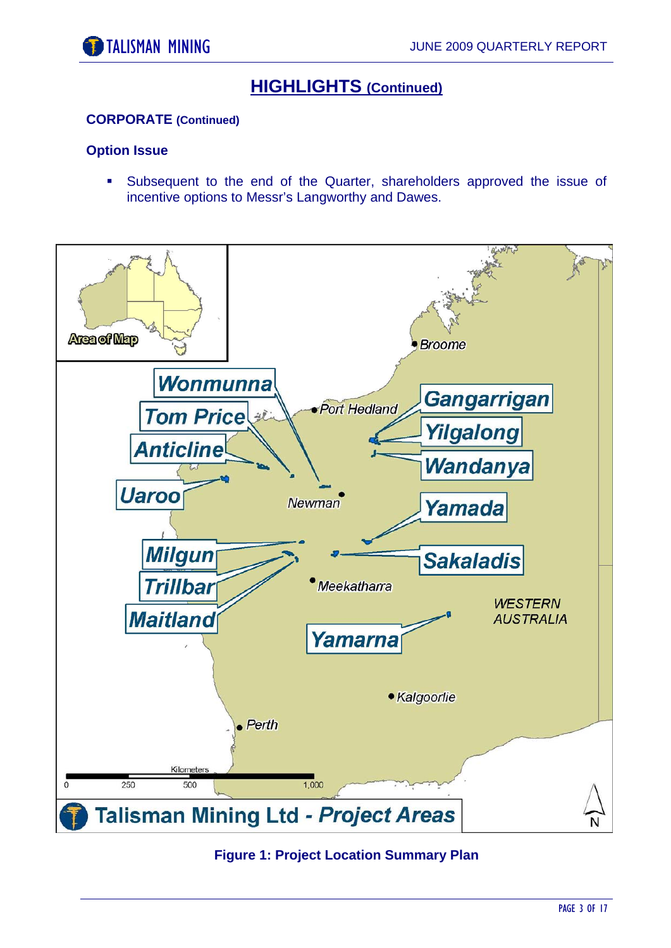# **HIGHLIGHTS (Continued)**

#### **CORPORATE (Continued)**

#### **Option Issue**

 Subsequent to the end of the Quarter, shareholders approved the issue of incentive options to Messr's Langworthy and Dawes.



#### **Figure 1: Project Location Summary Plan**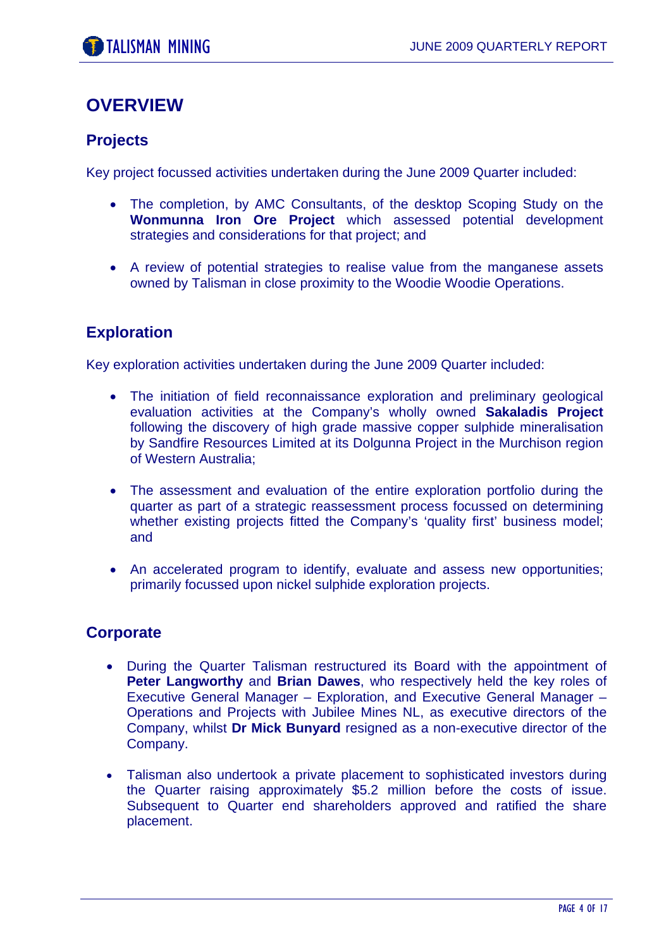# **OVERVIEW**

### **Projects**

Key project focussed activities undertaken during the June 2009 Quarter included:

- The completion, by AMC Consultants, of the desktop Scoping Study on the **Wonmunna Iron Ore Project** which assessed potential development strategies and considerations for that project; and
- A review of potential strategies to realise value from the manganese assets owned by Talisman in close proximity to the Woodie Woodie Operations.

### **Exploration**

Key exploration activities undertaken during the June 2009 Quarter included:

- The initiation of field reconnaissance exploration and preliminary geological evaluation activities at the Company's wholly owned **Sakaladis Project**  following the discovery of high grade massive copper sulphide mineralisation by Sandfire Resources Limited at its Dolgunna Project in the Murchison region of Western Australia;
- The assessment and evaluation of the entire exploration portfolio during the quarter as part of a strategic reassessment process focussed on determining whether existing projects fitted the Company's 'quality first' business model; and
- An accelerated program to identify, evaluate and assess new opportunities; primarily focussed upon nickel sulphide exploration projects.

#### **Corporate**

- During the Quarter Talisman restructured its Board with the appointment of **Peter Langworthy** and **Brian Dawes**, who respectively held the key roles of Executive General Manager – Exploration, and Executive General Manager – Operations and Projects with Jubilee Mines NL, as executive directors of the Company, whilst **Dr Mick Bunyard** resigned as a non-executive director of the Company.
- Talisman also undertook a private placement to sophisticated investors during the Quarter raising approximately \$5.2 million before the costs of issue. Subsequent to Quarter end shareholders approved and ratified the share placement.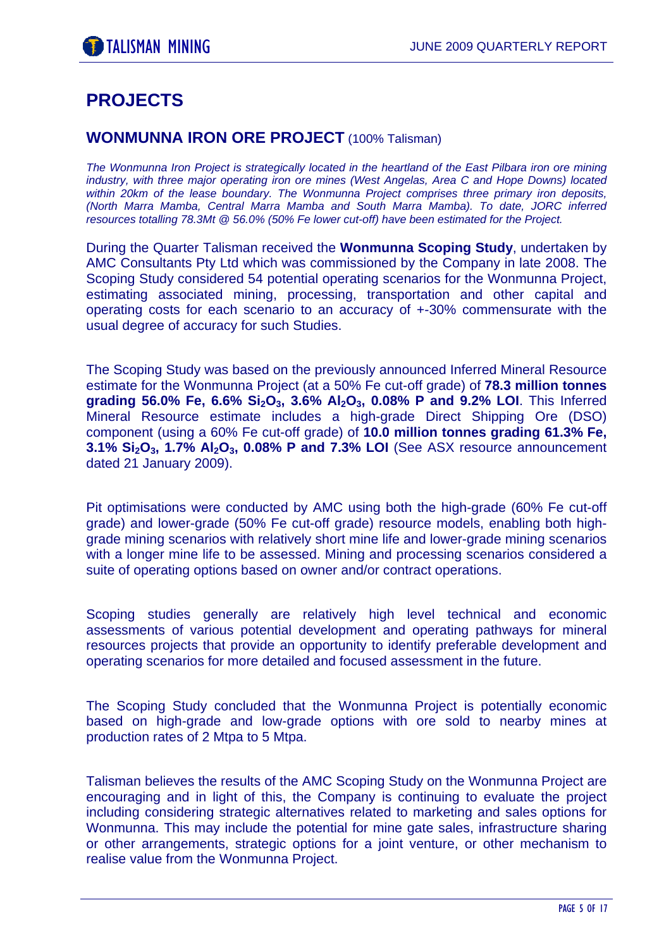# **PROJECTS**

#### **WONMUNNA IRON ORE PROJECT** (100% Talisman)

*The Wonmunna Iron Project is strategically located in the heartland of the East Pilbara iron ore mining industry, with three major operating iron ore mines (West Angelas, Area C and Hope Downs) located within 20km of the lease boundary. The Wonmunna Project comprises three primary iron deposits, (North Marra Mamba, Central Marra Mamba and South Marra Mamba). To date, JORC inferred resources totalling 78.3Mt @ 56.0% (50% Fe lower cut-off) have been estimated for the Project.* 

During the Quarter Talisman received the **Wonmunna Scoping Study**, undertaken by AMC Consultants Pty Ltd which was commissioned by the Company in late 2008. The Scoping Study considered 54 potential operating scenarios for the Wonmunna Project, estimating associated mining, processing, transportation and other capital and operating costs for each scenario to an accuracy of +-30% commensurate with the usual degree of accuracy for such Studies.

The Scoping Study was based on the previously announced Inferred Mineral Resource estimate for the Wonmunna Project (at a 50% Fe cut-off grade) of **78.3 million tonnes**  grading 56.0% Fe, 6.6% Si<sub>2</sub>O<sub>3</sub>, 3.6% Al<sub>2</sub>O<sub>3</sub>, 0.08% P and 9.2% LOI. This Inferred Mineral Resource estimate includes a high-grade Direct Shipping Ore (DSO) component (using a 60% Fe cut-off grade) of **10.0 million tonnes grading 61.3% Fe, 3.1% Si<sub>2</sub>O<sub>3</sub>, 1.7% Al<sub>2</sub>O<sub>3</sub>, 0.08% P and 7.3% LOI** (See ASX resource announcement dated 21 January 2009).

Pit optimisations were conducted by AMC using both the high-grade (60% Fe cut-off grade) and lower-grade (50% Fe cut-off grade) resource models, enabling both highgrade mining scenarios with relatively short mine life and lower-grade mining scenarios with a longer mine life to be assessed. Mining and processing scenarios considered a suite of operating options based on owner and/or contract operations.

Scoping studies generally are relatively high level technical and economic assessments of various potential development and operating pathways for mineral resources projects that provide an opportunity to identify preferable development and operating scenarios for more detailed and focused assessment in the future.

The Scoping Study concluded that the Wonmunna Project is potentially economic based on high-grade and low-grade options with ore sold to nearby mines at production rates of 2 Mtpa to 5 Mtpa.

Talisman believes the results of the AMC Scoping Study on the Wonmunna Project are encouraging and in light of this, the Company is continuing to evaluate the project including considering strategic alternatives related to marketing and sales options for Wonmunna. This may include the potential for mine gate sales, infrastructure sharing or other arrangements, strategic options for a joint venture, or other mechanism to realise value from the Wonmunna Project.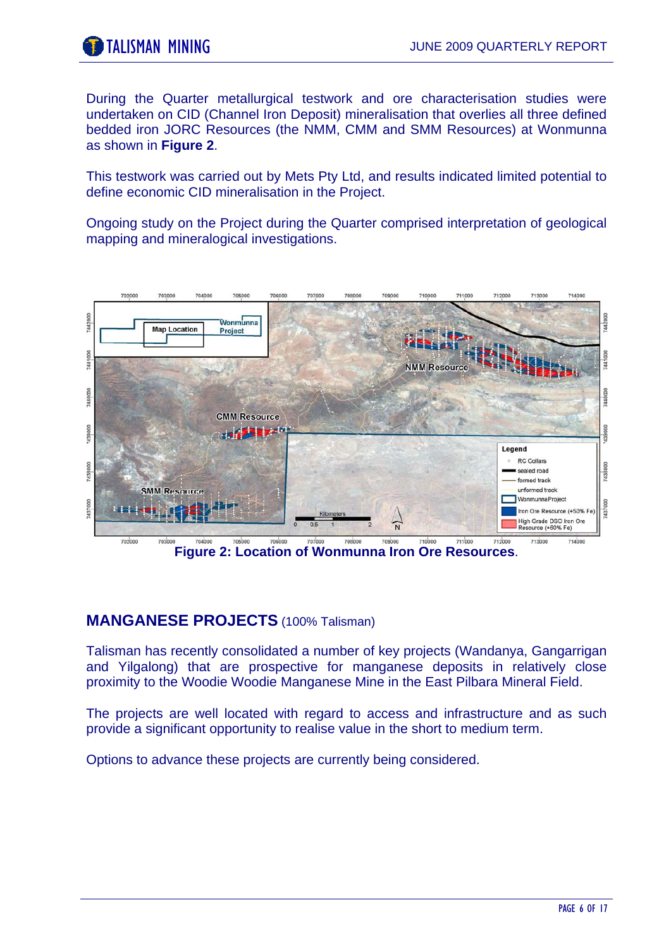During the Quarter metallurgical testwork and ore characterisation studies were undertaken on CID (Channel Iron Deposit) mineralisation that overlies all three defined bedded iron JORC Resources (the NMM, CMM and SMM Resources) at Wonmunna as shown in **Figure 2**.

This testwork was carried out by Mets Pty Ltd, and results indicated limited potential to define economic CID mineralisation in the Project.

Ongoing study on the Project during the Quarter comprised interpretation of geological mapping and mineralogical investigations.



**Figure 2: Location of Wonmunna Iron Ore Resources**.

#### **MANGANESE PROJECTS** (100% Talisman)

Talisman has recently consolidated a number of key projects (Wandanya, Gangarrigan and Yilgalong) that are prospective for manganese deposits in relatively close proximity to the Woodie Woodie Manganese Mine in the East Pilbara Mineral Field.

The projects are well located with regard to access and infrastructure and as such provide a significant opportunity to realise value in the short to medium term.

Options to advance these projects are currently being considered.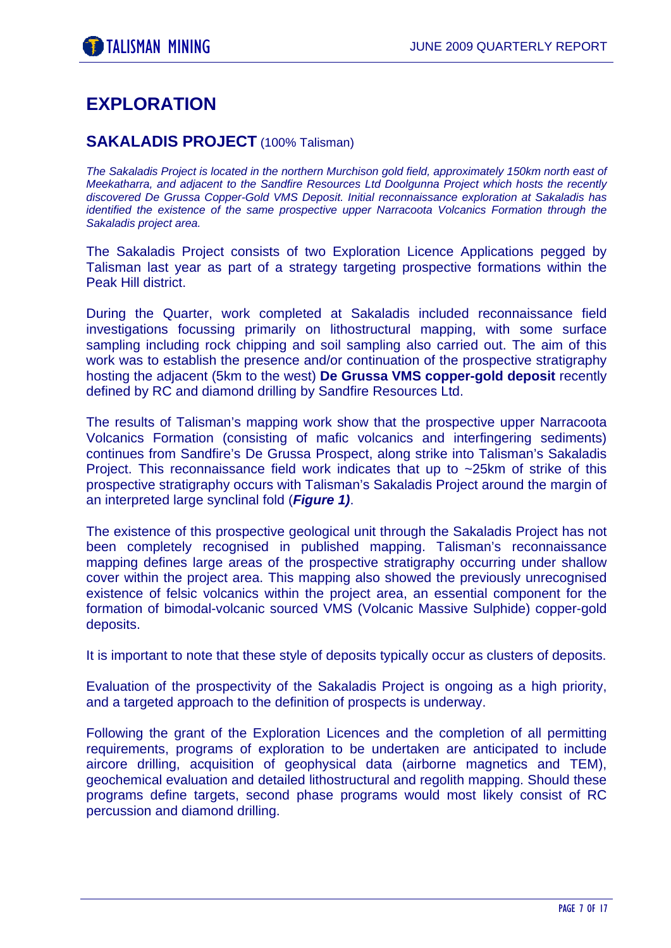# **EXPLORATION**

#### **SAKALADIS PROJECT** (100% Talisman)

*The Sakaladis Project is located in the northern Murchison gold field, approximately 150km north east of Meekatharra, and adjacent to the Sandfire Resources Ltd Doolgunna Project which hosts the recently discovered De Grussa Copper-Gold VMS Deposit. Initial reconnaissance exploration at Sakaladis has identified the existence of the same prospective upper Narracoota Volcanics Formation through the Sakaladis project area.* 

The Sakaladis Project consists of two Exploration Licence Applications pegged by Talisman last year as part of a strategy targeting prospective formations within the Peak Hill district.

During the Quarter, work completed at Sakaladis included reconnaissance field investigations focussing primarily on lithostructural mapping, with some surface sampling including rock chipping and soil sampling also carried out. The aim of this work was to establish the presence and/or continuation of the prospective stratigraphy hosting the adjacent (5km to the west) **De Grussa VMS copper-gold deposit** recently defined by RC and diamond drilling by Sandfire Resources Ltd.

The results of Talisman's mapping work show that the prospective upper Narracoota Volcanics Formation (consisting of mafic volcanics and interfingering sediments) continues from Sandfire's De Grussa Prospect, along strike into Talisman's Sakaladis Project. This reconnaissance field work indicates that up to ~25km of strike of this prospective stratigraphy occurs with Talisman's Sakaladis Project around the margin of an interpreted large synclinal fold (*Figure 1)*.

The existence of this prospective geological unit through the Sakaladis Project has not been completely recognised in published mapping. Talisman's reconnaissance mapping defines large areas of the prospective stratigraphy occurring under shallow cover within the project area. This mapping also showed the previously unrecognised existence of felsic volcanics within the project area, an essential component for the formation of bimodal-volcanic sourced VMS (Volcanic Massive Sulphide) copper-gold deposits.

It is important to note that these style of deposits typically occur as clusters of deposits.

Evaluation of the prospectivity of the Sakaladis Project is ongoing as a high priority, and a targeted approach to the definition of prospects is underway.

Following the grant of the Exploration Licences and the completion of all permitting requirements, programs of exploration to be undertaken are anticipated to include aircore drilling, acquisition of geophysical data (airborne magnetics and TEM), geochemical evaluation and detailed lithostructural and regolith mapping. Should these programs define targets, second phase programs would most likely consist of RC percussion and diamond drilling.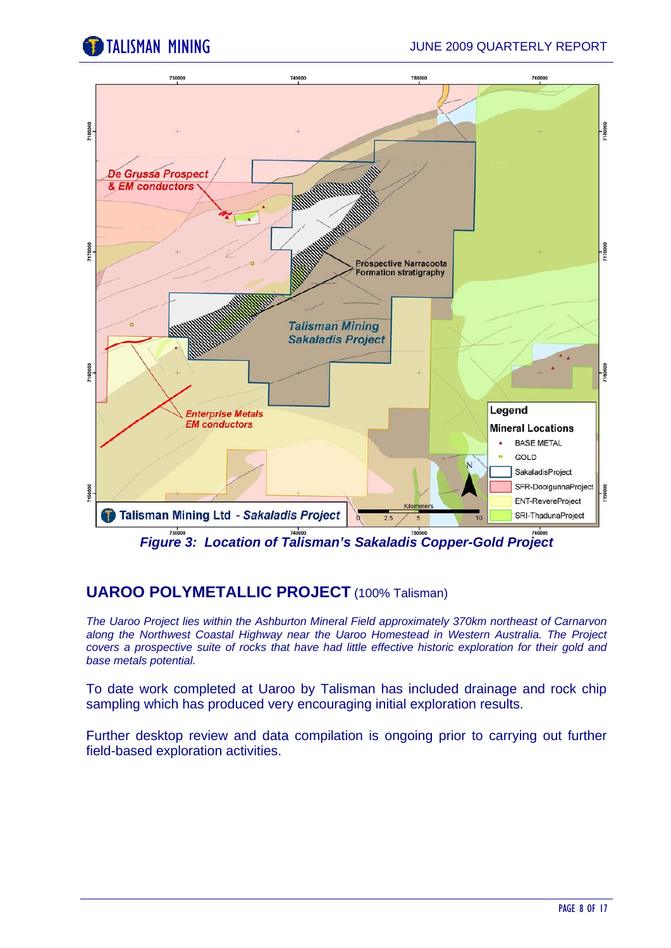



*Figure 3: Location of Talisman's Sakaladis Copper-Gold Project* 

## **UAROO POLYMETALLIC PROJECT** (100% Talisman)

*The Uaroo Project lies within the Ashburton Mineral Field approximately 370km northeast of Carnarvon along the Northwest Coastal Highway near the Uaroo Homestead in Western Australia. The Project covers a prospective suite of rocks that have had little effective historic exploration for their gold and base metals potential.* 

To date work completed at Uaroo by Talisman has included drainage and rock chip sampling which has produced very encouraging initial exploration results.

Further desktop review and data compilation is ongoing prior to carrying out further field-based exploration activities.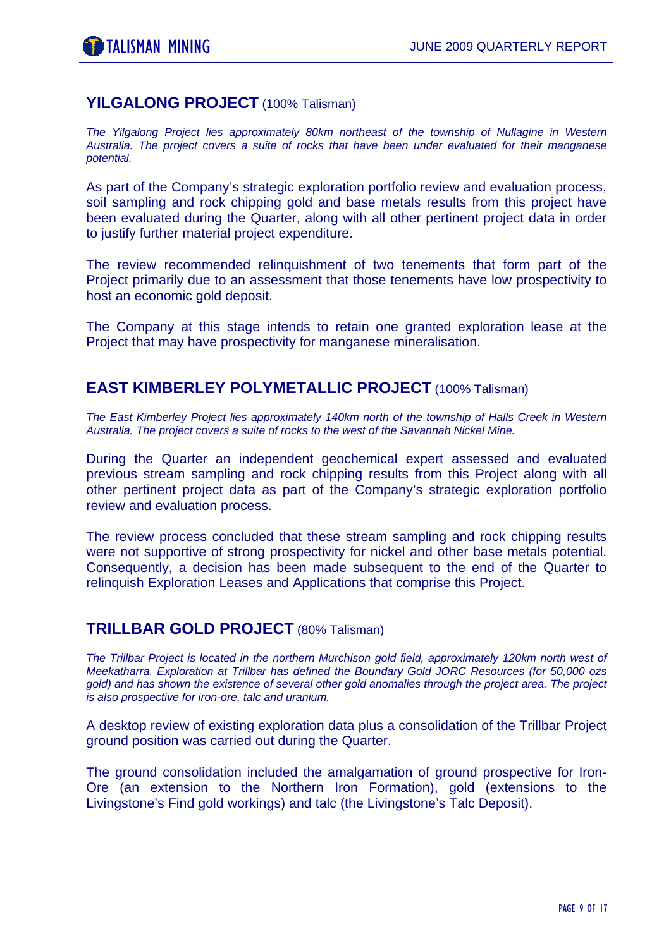#### **YILGALONG PROJECT** (100% Talisman)

*The Yilgalong Project lies approximately 80km northeast of the township of Nullagine in Western Australia. The project covers a suite of rocks that have been under evaluated for their manganese potential.* 

As part of the Company's strategic exploration portfolio review and evaluation process, soil sampling and rock chipping gold and base metals results from this project have been evaluated during the Quarter, along with all other pertinent project data in order to justify further material project expenditure.

The review recommended relinquishment of two tenements that form part of the Project primarily due to an assessment that those tenements have low prospectivity to host an economic gold deposit.

The Company at this stage intends to retain one granted exploration lease at the Project that may have prospectivity for manganese mineralisation.

#### **EAST KIMBERLEY POLYMETALLIC PROJECT** (100% Talisman)

*The East Kimberley Project lies approximately 140km north of the township of Halls Creek in Western Australia. The project covers a suite of rocks to the west of the Savannah Nickel Mine.* 

During the Quarter an independent geochemical expert assessed and evaluated previous stream sampling and rock chipping results from this Project along with all other pertinent project data as part of the Company's strategic exploration portfolio review and evaluation process.

The review process concluded that these stream sampling and rock chipping results were not supportive of strong prospectivity for nickel and other base metals potential. Consequently, a decision has been made subsequent to the end of the Quarter to relinquish Exploration Leases and Applications that comprise this Project.

#### **TRILLBAR GOLD PROJECT** (80% Talisman)

*The Trillbar Project is located in the northern Murchison gold field, approximately 120km north west of Meekatharra. Exploration at Trillbar has defined the Boundary Gold JORC Resources (for 50,000 ozs gold) and has shown the existence of several other gold anomalies through the project area. The project is also prospective for iron-ore, talc and uranium.* 

A desktop review of existing exploration data plus a consolidation of the Trillbar Project ground position was carried out during the Quarter.

The ground consolidation included the amalgamation of ground prospective for Iron-Ore (an extension to the Northern Iron Formation), gold (extensions to the Livingstone's Find gold workings) and talc (the Livingstone's Talc Deposit).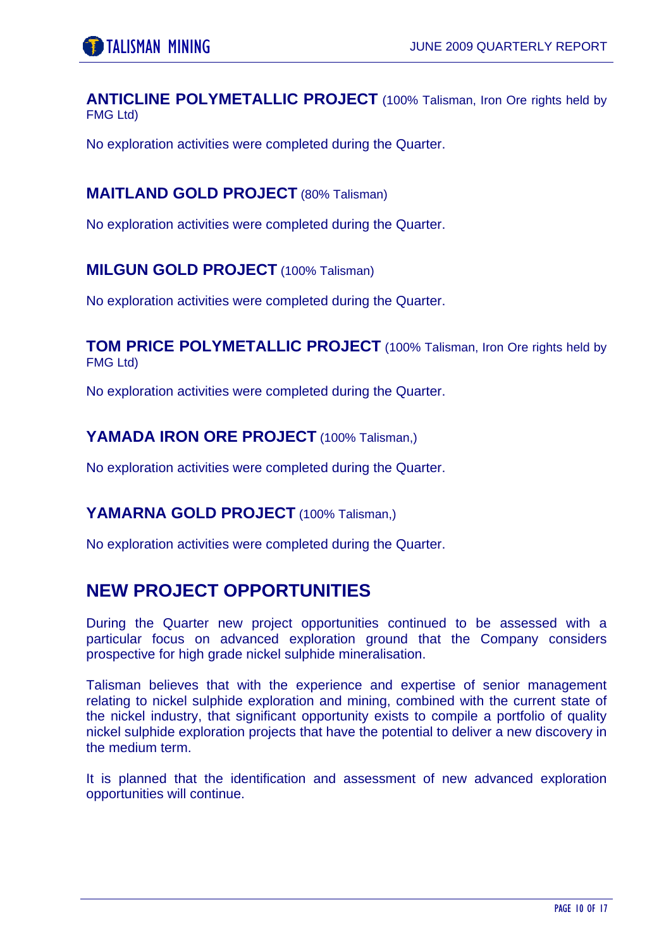**ANTICLINE POLYMETALLIC PROJECT** (100% Talisman, Iron Ore rights held by FMG Ltd)

No exploration activities were completed during the Quarter.

#### **MAITLAND GOLD PROJECT** (80% Talisman)

No exploration activities were completed during the Quarter.

#### **MILGUN GOLD PROJECT** (100% Talisman)

No exploration activities were completed during the Quarter.

#### **TOM PRICE POLYMETALLIC PROJECT** (100% Talisman, Iron Ore rights held by FMG Ltd)

No exploration activities were completed during the Quarter.

#### YAMADA **IRON ORE PROJECT** (100% Talisman,)

No exploration activities were completed during the Quarter.

#### YAMARNA GOLD PROJECT (100% Talisman,)

No exploration activities were completed during the Quarter.

# **NEW PROJECT OPPORTUNITIES**

During the Quarter new project opportunities continued to be assessed with a particular focus on advanced exploration ground that the Company considers prospective for high grade nickel sulphide mineralisation.

Talisman believes that with the experience and expertise of senior management relating to nickel sulphide exploration and mining, combined with the current state of the nickel industry, that significant opportunity exists to compile a portfolio of quality nickel sulphide exploration projects that have the potential to deliver a new discovery in the medium term.

It is planned that the identification and assessment of new advanced exploration opportunities will continue.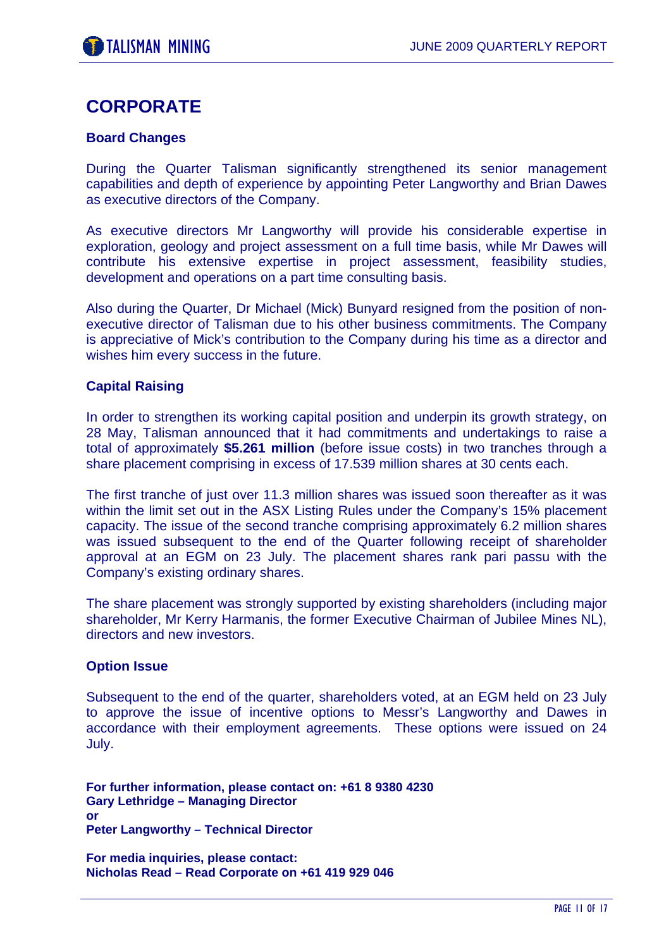# **CORPORATE**

#### **Board Changes**

During the Quarter Talisman significantly strengthened its senior management capabilities and depth of experience by appointing Peter Langworthy and Brian Dawes as executive directors of the Company.

As executive directors Mr Langworthy will provide his considerable expertise in exploration, geology and project assessment on a full time basis, while Mr Dawes will contribute his extensive expertise in project assessment, feasibility studies, development and operations on a part time consulting basis.

Also during the Quarter, Dr Michael (Mick) Bunyard resigned from the position of nonexecutive director of Talisman due to his other business commitments. The Company is appreciative of Mick's contribution to the Company during his time as a director and wishes him every success in the future.

#### **Capital Raising**

In order to strengthen its working capital position and underpin its growth strategy, on 28 May, Talisman announced that it had commitments and undertakings to raise a total of approximately **\$5.261 million** (before issue costs) in two tranches through a share placement comprising in excess of 17.539 million shares at 30 cents each.

The first tranche of just over 11.3 million shares was issued soon thereafter as it was within the limit set out in the ASX Listing Rules under the Company's 15% placement capacity. The issue of the second tranche comprising approximately 6.2 million shares was issued subsequent to the end of the Quarter following receipt of shareholder approval at an EGM on 23 July. The placement shares rank pari passu with the Company's existing ordinary shares.

The share placement was strongly supported by existing shareholders (including major shareholder, Mr Kerry Harmanis, the former Executive Chairman of Jubilee Mines NL), directors and new investors.

#### **Option Issue**

Subsequent to the end of the quarter, shareholders voted, at an EGM held on 23 July to approve the issue of incentive options to Messr's Langworthy and Dawes in accordance with their employment agreements. These options were issued on 24 July.

**For further information, please contact on: +61 8 9380 4230 Gary Lethridge – Managing Director or Peter Langworthy – Technical Director** 

**For media inquiries, please contact: Nicholas Read – Read Corporate on +61 419 929 046**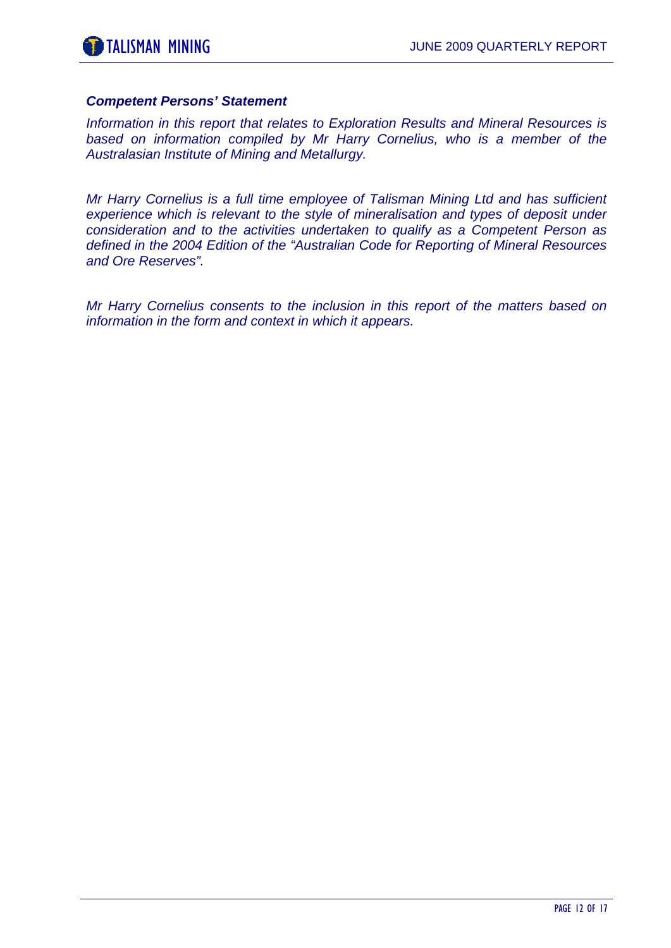#### *Competent Persons' Statement*

*Information in this report that relates to Exploration Results and Mineral Resources is based on information compiled by Mr Harry Cornelius, who is a member of the Australasian Institute of Mining and Metallurgy.* 

*Mr Harry Cornelius is a full time employee of Talisman Mining Ltd and has sufficient*  experience which is relevant to the style of mineralisation and types of deposit under *consideration and to the activities undertaken to qualify as a Competent Person as defined in the 2004 Edition of the "Australian Code for Reporting of Mineral Resources and Ore Reserves".* 

*Mr Harry Cornelius consents to the inclusion in this report of the matters based on information in the form and context in which it appears.*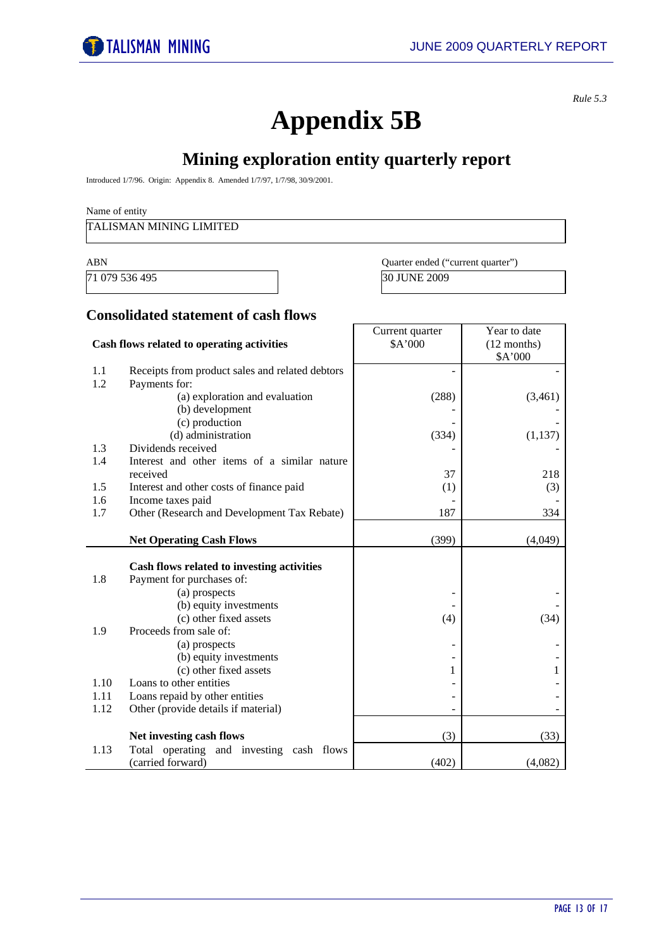Year to date

*Rule 5.3* 

# **Appendix 5B**

# **Mining exploration entity quarterly report**

Introduced 1/7/96. Origin: Appendix 8. Amended 1/7/97, 1/7/98, 30/9/2001.

#### Name of entity

#### TALISMAN MINING LIMITED

| ABN            | Quarter ended ("current quarter") |
|----------------|-----------------------------------|
| 71 079 536 495 | <b>30 JUNE 2009</b>               |

Current quarter

#### **Consolidated statement of cash flows**

|      | Cash flows related to operating activities       | \$A'000 | $(12$ months) |
|------|--------------------------------------------------|---------|---------------|
| 1.1  | Receipts from product sales and related debtors  |         | \$A'000       |
| 1.2  | Payments for:                                    |         |               |
|      | (a) exploration and evaluation                   | (288)   | (3,461)       |
|      | (b) development                                  |         |               |
|      | (c) production                                   |         |               |
|      | (d) administration                               | (334)   | (1, 137)      |
| 1.3  | Dividends received                               |         |               |
| 1.4  | Interest and other items of a similar nature     |         |               |
|      | received                                         | 37      | 218           |
| 1.5  | Interest and other costs of finance paid         | (1)     | (3)           |
| 1.6  | Income taxes paid                                |         |               |
| 1.7  | Other (Research and Development Tax Rebate)      | 187     | 334           |
|      |                                                  |         |               |
|      | <b>Net Operating Cash Flows</b>                  | (399)   | (4,049)       |
|      |                                                  |         |               |
| 1.8  | Cash flows related to investing activities       |         |               |
|      | Payment for purchases of:                        |         |               |
|      | (a) prospects                                    |         |               |
|      | (b) equity investments<br>(c) other fixed assets | (4)     | (34)          |
| 1.9  | Proceeds from sale of:                           |         |               |
|      | (a) prospects                                    |         |               |
|      | (b) equity investments                           |         |               |
|      | (c) other fixed assets                           |         |               |
| 1.10 | Loans to other entities                          |         |               |
| 1.11 | Loans repaid by other entities                   |         |               |
| 1.12 | Other (provide details if material)              |         |               |
|      |                                                  |         |               |
|      | Net investing cash flows                         | (3)     | (33)          |
| 1.13 | Total operating and investing cash flows         |         |               |
|      | (carried forward)                                | (402)   | (4,082)       |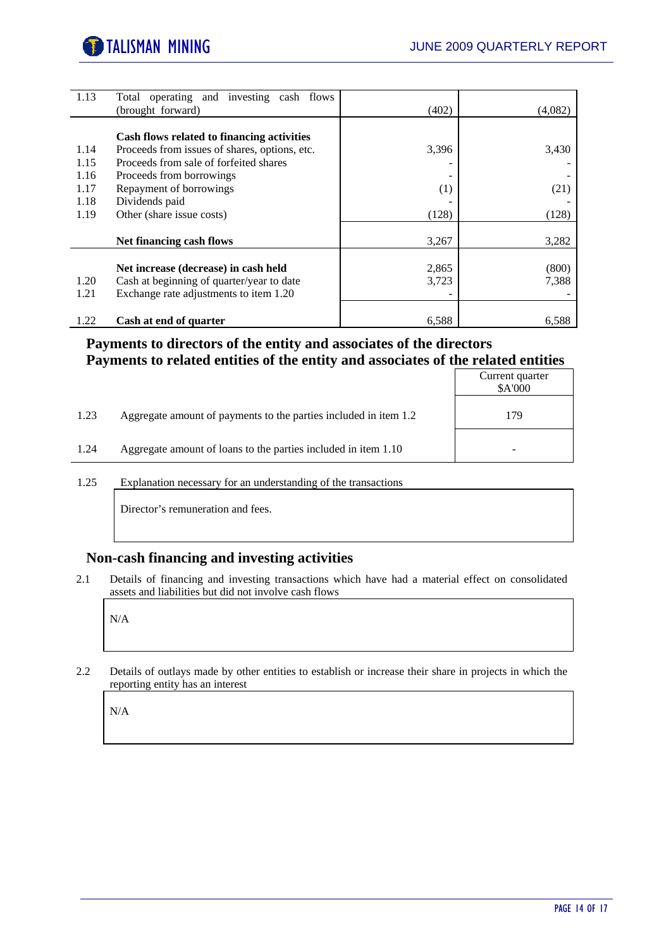

| 1.13 | Total operating and investing cash flows      |       |         |
|------|-----------------------------------------------|-------|---------|
|      | (brought forward)                             | (402) | (4,082) |
|      |                                               |       |         |
|      | Cash flows related to financing activities    |       |         |
| 1.14 | Proceeds from issues of shares, options, etc. | 3,396 | 3,430   |
| 1.15 | Proceeds from sale of forfeited shares        |       |         |
| 1.16 | Proceeds from borrowings                      |       |         |
| 1.17 | Repayment of borrowings                       | (1)   | (21)    |
| 1.18 | Dividends paid                                |       |         |
| 1.19 | Other (share issue costs)                     | (128) | (128)   |
|      |                                               |       |         |
|      | <b>Net financing cash flows</b>               | 3,267 | 3,282   |
|      |                                               |       |         |
|      | Net increase (decrease) in cash held          | 2,865 | (800)   |
| 1.20 | Cash at beginning of quarter/year to date     | 3,723 | 7,388   |
| 1.21 | Exchange rate adjustments to item 1.20        |       |         |
|      |                                               |       |         |
| 1.22 | Cash at end of quarter                        | 6,588 | 6,588   |

#### **Payments to directors of the entity and associates of the directors Payments to related entities of the entity and associates of the related entities**

|      |                                                                  | Current quarter<br>\$A'000 |
|------|------------------------------------------------------------------|----------------------------|
| 1.23 | Aggregate amount of payments to the parties included in item 1.2 | 179                        |
| 1.24 | Aggregate amount of loans to the parties included in item 1.10   |                            |

1.25 Explanation necessary for an understanding of the transactions

Director's remuneration and fees.

#### **Non-cash financing and investing activities**

2.1 Details of financing and investing transactions which have had a material effect on consolidated assets and liabilities but did not involve cash flows

N/A

2.2 Details of outlays made by other entities to establish or increase their share in projects in which the reporting entity has an interest

N/A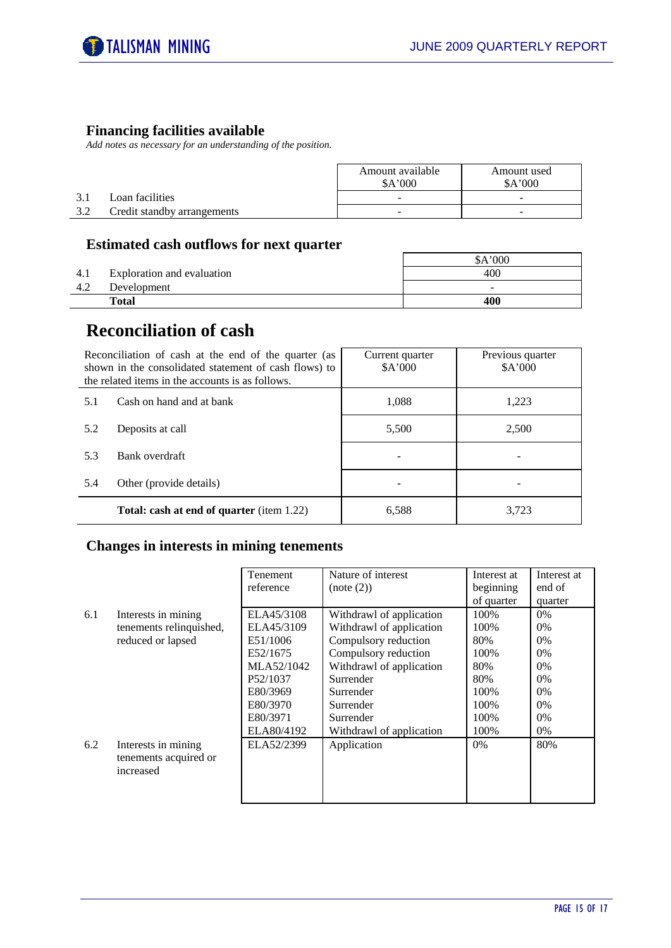#### **Financing facilities available**

*Add notes as necessary for an understanding of the position.* 

|     |                             | Amount available<br>A'000 | Amount used<br>A'000 |
|-----|-----------------------------|---------------------------|----------------------|
| 3.1 | Loan facilities             | -                         | -                    |
| 2 C | Credit standby arrangements | -                         | -                    |

#### **Estimated cash outflows for next quarter**

|     |                            | \$A'000                  |
|-----|----------------------------|--------------------------|
| 4.1 | Exploration and evaluation | 400                      |
| 4.2 | Development                | $\overline{\phantom{0}}$ |
|     | Total                      | 400                      |

# **Reconciliation of cash**

| Reconciliation of cash at the end of the quarter (as<br>shown in the consolidated statement of cash flows) to<br>the related items in the accounts is as follows. |                                                  | Current quarter<br>A'000 | Previous quarter<br>A'000 |
|-------------------------------------------------------------------------------------------------------------------------------------------------------------------|--------------------------------------------------|--------------------------|---------------------------|
| 5.1                                                                                                                                                               | Cash on hand and at bank                         | 1.088                    | 1.223                     |
| 5.2                                                                                                                                                               | Deposits at call                                 | 5,500                    | 2,500                     |
| 5.3                                                                                                                                                               | Bank overdraft                                   |                          |                           |
| 5.4                                                                                                                                                               | Other (provide details)                          |                          |                           |
|                                                                                                                                                                   | <b>Total: cash at end of quarter</b> (item 1.22) | 6,588                    | 3,723                     |

#### **Changes in interests in mining tenements**

|     |                         | Tenement   | Nature of interest       | Interest at | Interest at |
|-----|-------------------------|------------|--------------------------|-------------|-------------|
|     |                         | reference  | (note (2))               | beginning   | end of      |
|     |                         |            |                          | of quarter  | quarter     |
| 6.1 | Interests in mining     | ELA45/3108 | Withdrawl of application | 100%        | 0%          |
|     | tenements relinquished, | ELA45/3109 | Withdrawl of application | 100%        | 0%          |
|     | reduced or lapsed       | E51/1006   | Compulsory reduction     | 80%         | 0%          |
|     |                         | E52/1675   | Compulsory reduction     | 100%        | $0\%$       |
|     |                         | MLA52/1042 | Withdrawl of application | 80%         | 0%          |
|     |                         | P52/1037   | Surrender                | 80%         | 0%          |
|     |                         | E80/3969   | Surrender                | 100%        | 0%          |
|     |                         | E80/3970   | Surrender                | 100%        | 0%          |
|     |                         | E80/3971   | Surrender                | 100%        | 0%          |
|     |                         | ELA80/4192 | Withdrawl of application | 100%        | 0%          |
| 6.2 | Interests in mining     | ELA52/2399 | Application              | $0\%$       | 80%         |
|     | tenements acquired or   |            |                          |             |             |
|     | increased               |            |                          |             |             |
|     |                         |            |                          |             |             |
|     |                         |            |                          |             |             |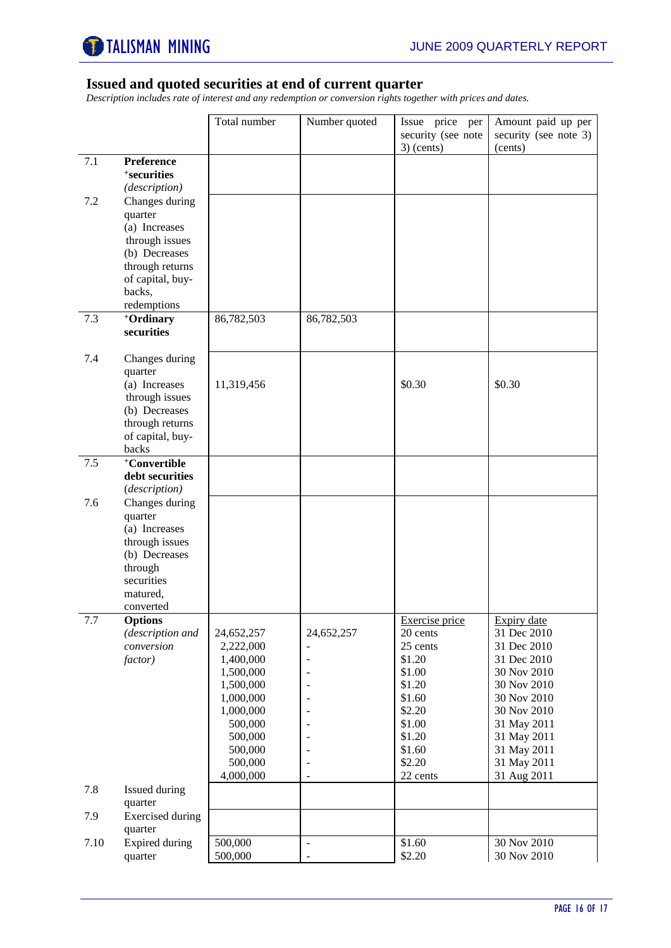

#### **Issued and quoted securities at end of current quarter**

*Description includes rate of interest and any redemption or conversion rights together with prices and dates.* 

|      |                                                                                                                                               | Total number                                                                                                                         | Number quoted                                                                                                                                                     | Issue price per<br>security (see note<br>$3)$ (cents)                                                                            | Amount paid up per<br>security (see note 3)<br>(cents)                                                                                                                           |
|------|-----------------------------------------------------------------------------------------------------------------------------------------------|--------------------------------------------------------------------------------------------------------------------------------------|-------------------------------------------------------------------------------------------------------------------------------------------------------------------|----------------------------------------------------------------------------------------------------------------------------------|----------------------------------------------------------------------------------------------------------------------------------------------------------------------------------|
| 7.1  | Preference<br><sup>+</sup> securities<br>(description)                                                                                        |                                                                                                                                      |                                                                                                                                                                   |                                                                                                                                  |                                                                                                                                                                                  |
| 7.2  | Changes during<br>quarter<br>(a) Increases<br>through issues<br>(b) Decreases<br>through returns<br>of capital, buy-<br>backs,<br>redemptions |                                                                                                                                      |                                                                                                                                                                   |                                                                                                                                  |                                                                                                                                                                                  |
| 7.3  | +Ordinary<br>securities                                                                                                                       | 86,782,503                                                                                                                           | 86,782,503                                                                                                                                                        |                                                                                                                                  |                                                                                                                                                                                  |
| 7.4  | Changes during<br>quarter<br>(a) Increases<br>through issues<br>(b) Decreases<br>through returns<br>of capital, buy-<br>backs                 | 11,319,456                                                                                                                           |                                                                                                                                                                   | \$0.30                                                                                                                           | \$0.30                                                                                                                                                                           |
| 7.5  | +Convertible<br>debt securities<br>(description)                                                                                              |                                                                                                                                      |                                                                                                                                                                   |                                                                                                                                  |                                                                                                                                                                                  |
| 7.6  | Changes during<br>quarter<br>(a) Increases<br>through issues<br>(b) Decreases<br>through<br>securities<br>matured,<br>converted               |                                                                                                                                      |                                                                                                                                                                   |                                                                                                                                  |                                                                                                                                                                                  |
| 7.7  | <b>Options</b><br>(description and<br>conversion<br>factor)                                                                                   | 24,652,257<br>2,222,000<br>1,400,000<br>1,500,000<br>1,500,000<br>1,000,000<br>1,000,000<br>500,000<br>500,000<br>500,000<br>500,000 | 24,652,257<br>$\overline{a}$<br>$\overline{a}$<br>$\overline{a}$<br>$\overline{a}$<br>$\overline{a}$<br>$\overline{\phantom{a}}$<br>$\overline{\phantom{a}}$<br>٠ | Exercise price<br>20 cents<br>25 cents<br>\$1.20<br>\$1.00<br>\$1.20<br>\$1.60<br>\$2.20<br>\$1.00<br>\$1.20<br>\$1.60<br>\$2.20 | Expiry date<br>31 Dec 2010<br>31 Dec 2010<br>31 Dec 2010<br>30 Nov 2010<br>30 Nov 2010<br>30 Nov 2010<br>30 Nov 2010<br>31 May 2011<br>31 May 2011<br>31 May 2011<br>31 May 2011 |
| 7.8  | Issued during<br>quarter                                                                                                                      | 4,000,000                                                                                                                            | L,                                                                                                                                                                | 22 cents                                                                                                                         | 31 Aug 2011                                                                                                                                                                      |
| 7.9  | <b>Exercised</b> during<br>quarter                                                                                                            |                                                                                                                                      |                                                                                                                                                                   |                                                                                                                                  |                                                                                                                                                                                  |
| 7.10 | <b>Expired during</b><br>quarter                                                                                                              | 500,000<br>500,000                                                                                                                   | $\frac{1}{2}$<br>$\overline{\phantom{m}}$                                                                                                                         | \$1.60<br>\$2.20                                                                                                                 | 30 Nov 2010<br>30 Nov 2010                                                                                                                                                       |